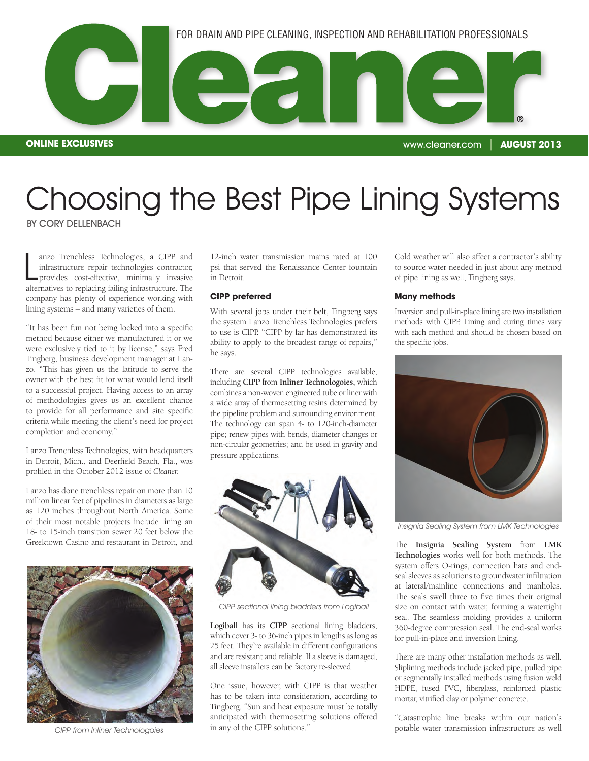

Choosing the Best Pipe Lining Systems

BY CORY DELLENBACH

anzo Trenchless Technologies, a CIPP and<br>infrastructure repair technologies contractor,<br>provides cost-effective, minimally invasive<br>alternatives to replacing failing infrastructure. The anzo Trenchless Technologies, a CIPP and infrastructure repair technologies contractor, provides cost-effective, minimally invasive company has plenty of experience working with lining systems – and many varieties of them.

"It has been fun not being locked into a specific method because either we manufactured it or we were exclusively tied to it by license," says Fred Tingberg, business development manager at Lanzo. "This has given us the latitude to serve the owner with the best fit for what would lend itself to a successful project. Having access to an array of methodologies gives us an excellent chance to provide for all performance and site specific criteria while meeting the client's need for project completion and economy."

Lanzo Trenchless Technologies, with headquarters in Detroit, Mich., and Deerfield Beach, Fla., was profiled in the October 2012 issue of *Cleaner.*

Lanzo has done trenchless repair on more than 10 million linear feet of pipelines in diameters as large as 120 inches throughout North America. Some of their most notable projects include lining an 18- to 15-inch transition sewer 20 feet below the Greektown Casino and restaurant in Detroit, and



CIPP from Inliner Technologoies

12-inch water transmission mains rated at 100 psi that served the Renaissance Center fountain in Detroit.

## **CIPP preferred**

With several jobs under their belt, Tingberg says the system Lanzo Trenchless Technologies prefers to use is CIPP. "CIPP by far has demonstrated its ability to apply to the broadest range of repairs," he says.

There are several CIPP technologies available, including **CIPP** from **Inliner Technologoies,** which combines a non-woven engineered tube or liner with a wide array of thermosetting resins determined by the pipeline problem and surrounding environment. The technology can span 4- to 120-inch-diameter pipe; renew pipes with bends, diameter changes or non-circular geometries; and be used in gravity and pressure applications.



CIPP sectional lining bladders from Logiball

**Logiball** has its **CIPP** sectional lining bladders, which cover 3- to 36-inch pipes in lengths as long as 25 feet. They're available in different configurations and are resistant and reliable. If a sleeve is damaged, all sleeve installers can be factory re-sleeved.

One issue, however, with CIPP is that weather has to be taken into consideration, according to Tingberg. "Sun and heat exposure must be totally anticipated with thermosetting solutions offered in any of the CIPP solutions."

Cold weather will also affect a contractor's ability to source water needed in just about any method of pipe lining as well, Tingberg says.

## **Many methods**

Inversion and pull-in-place lining are two installation methods with CIPP. Lining and curing times vary with each method and should be chosen based on the specific jobs.



Insignia Sealing System from LMK Technologies

The **Insignia Sealing System** from **LMK Technologies** works well for both methods. The system offers O-rings, connection hats and endseal sleeves as solutions to groundwater infiltration at lateral/mainline connections and manholes. The seals swell three to five times their original size on contact with water, forming a watertight seal. The seamless molding provides a uniform 360-degree compression seal. The end-seal works for pull-in-place and inversion lining.

There are many other installation methods as well. Sliplining methods include jacked pipe, pulled pipe or segmentally installed methods using fusion weld HDPE, fused PVC, fiberglass, reinforced plastic mortar, vitrified clay or polymer concrete.

"Catastrophic line breaks within our nation's potable water transmission infrastructure as well